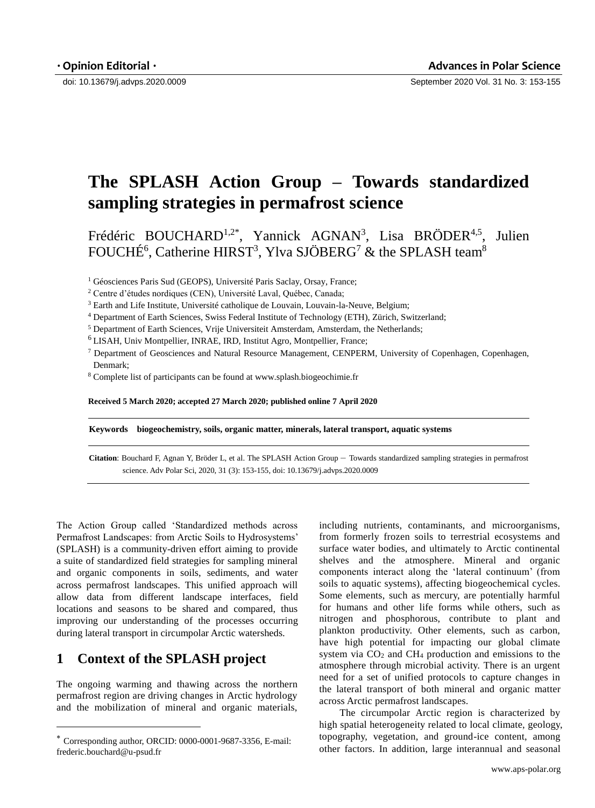doi: 10.13679/j.advps.2020.0009 September 2020 Vol. 31 No. 3: 153-155

## **The SPLASH Action Group – Towards standardized sampling strategies in permafrost science**

Frédéric BOUCHARD<sup>1,2\*</sup>, Yannick AGNAN<sup>3</sup>, Lisa BRÖDER<sup>4,5</sup>, Julien FOUCHÉ<sup>6</sup>, Catherine HIRST<sup>3</sup>, Ylva SJÖBERG<sup>7</sup> & the SPLASH team<sup>8</sup>

<sup>1</sup> Géosciences Paris Sud (GEOPS), Université Paris Saclay, Orsay, France;

<sup>3</sup> Earth and Life Institute, Université catholique de Louvain, Louvain-la-Neuve, Belgium;

<sup>4</sup> Department of Earth Sciences, Swiss Federal Institute of Technology (ETH), Zürich, Switzerland;

<sup>5</sup> Department of Earth Sciences, Vrije Universiteit Amsterdam, Amsterdam, the Netherlands;

<sup>6</sup>LISAH, Univ Montpellier, INRAE, IRD, Institut Agro, Montpellier, France;

<sup>7</sup> Department of Geosciences and Natural Resource Management, CENPERM, University of Copenhagen, Copenhagen, Denmark;

<sup>8</sup> Complete list of participants can be found at www.splash.biogeochimie.fr

**Received 5 March 2020; accepted 27 March 2020; published online 7 April 2020**

**Keywords biogeochemistry, soils, organic matter, minerals, lateral transport, aquatic systems**

**Citation**: Bouchard F, Agnan Y, Bröder L, et al. The SPLASH Action Group – Towards standardized sampling strategies in permafrost science. Adv Polar Sci, 2020, 31 (3): 153-155, doi: 10.13679/j.advps.2020.0009

The Action Group called 'Standardized methods across Permafrost Landscapes: from Arctic Soils to Hydrosystems' (SPLASH) is a community-driven effort aiming to provide a suite of standardized field strategies for sampling mineral and organic components in soils, sediments, and water across permafrost landscapes. This unified approach will allow data from different landscape interfaces, field locations and seasons to be shared and compared, thus improving our understanding of the processes occurring during lateral transport in circumpolar Arctic watersheds.

## **1 Context of the SPLASH project**

-

The ongoing warming and thawing across the northern permafrost region are driving changes in Arctic hydrology and the mobilization of mineral and organic materials,

including nutrients, contaminants, and microorganisms, from formerly frozen soils to terrestrial ecosystems and surface water bodies, and ultimately to Arctic continental shelves and the atmosphere. Mineral and organic components interact along the 'lateral continuum' (from soils to aquatic systems), affecting biogeochemical cycles. Some elements, such as mercury, are potentially harmful for humans and other life forms while others, such as nitrogen and phosphorous, contribute to plant and plankton productivity. Other elements, such as carbon, have high potential for impacting our global climate system via  $CO<sub>2</sub>$  and  $CH<sub>4</sub>$  production and emissions to the atmosphere through microbial activity. There is an urgent need for a set of unified protocols to capture changes in the lateral transport of both mineral and organic matter across Arctic permafrost landscapes.

The circumpolar Arctic region is characterized by high spatial heterogeneity related to local climate, geology, topography, vegetation, and ground-ice content, among other factors. In addition, large interannual and seasonal

<sup>2</sup> Centre d'études nordiques (CEN), Université Laval, Québec, Canada;

Corresponding author, ORCID[: 00](mailto:0000-****-****)00-0001-9687-3356, E-mail: frederic.bouchard@u-psud.fr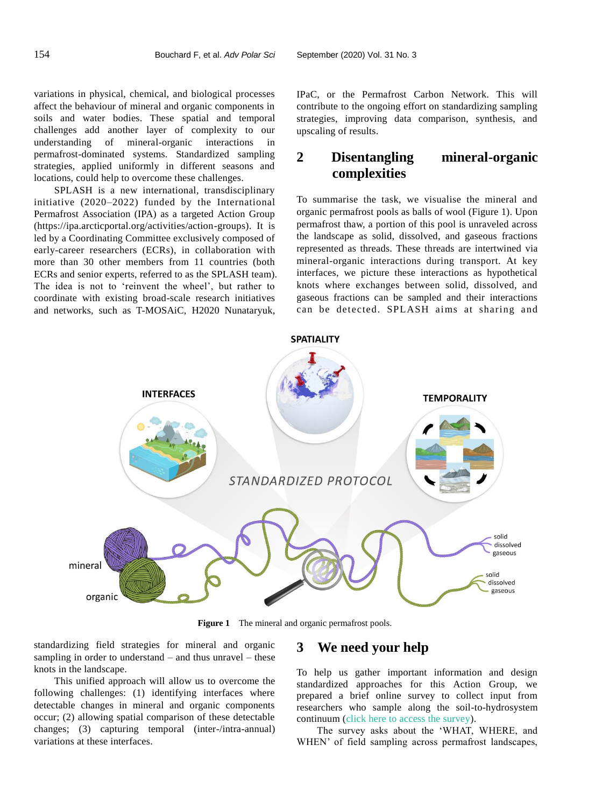variations in physical, chemical, and biological processes affect the behaviour of mineral and organic components in soils and water bodies. These spatial and temporal challenges add another layer of complexity to our understanding of mineral-organic interactions in permafrost-dominated systems. Standardized sampling strategies, applied uniformly in different seasons and locations, could help to overcome these challenges.

SPLASH is a new international, transdisciplinary initiative (2020–2022) funded by the International Permafrost Association (IPA) as a targeted Action Group (https://ipa.arcticportal.org/activities/action-groups). It is led by a Coordinating Committee exclusively composed of early-career researchers (ECRs), in collaboration with more than 30 other members from 11 countries (both ECRs and senior experts, referred to as the SPLASH team). The idea is not to 'reinvent the wheel', but rather to coordinate with existing broad-scale research initiatives and networks, such as T-MOSAiC, H2020 Nunataryuk,

IPaC, or the Permafrost Carbon Network. This will contribute to the ongoing effort on standardizing sampling strategies, improving data comparison, synthesis, and upscaling of results.

## **2 Disentangling mineral-organic complexities**

To summarise the task, we visualise the mineral and organic permafrost pools as balls of wool (Figure 1). Upon permafrost thaw, a portion of this pool is unraveled across the landscape as solid, dissolved, and gaseous fractions represented as threads. These threads are intertwined via mineral-organic interactions during transport. At key interfaces, we picture these interactions as hypothetical knots where exchanges between solid, dissolved, and gaseous fractions can be sampled and their interactions can be detected. SPLASH aims at sharing and



Figure 1 The mineral and organic permafrost pools.

standardizing field strategies for mineral and organic sampling in order to understand – and thus unravel – these knots in the landscape.

This unified approach will allow us to overcome the following challenges: (1) identifying interfaces where detectable changes in mineral and organic components occur; (2) allowing spatial comparison of these detectable changes; (3) capturing temporal (inter-/intra-annual) variations at these interfaces.

## **3 We need your help**

To help us gather important information and design standardized approaches for this Action Group, we prepared a brief online survey to collect input from researchers who sample along the soil-to-hydrosystem continuum [\(click here to access the survey\)](https://docs.google.com/forms/d/e/1FAIpQLScNXbcskxqz-XYZR6EDzNDDzCzEzyHgSAxIY221dkKUXTin4A/viewform).

The survey asks about the 'WHAT, WHERE, and WHEN' of field sampling across permafrost landscapes,